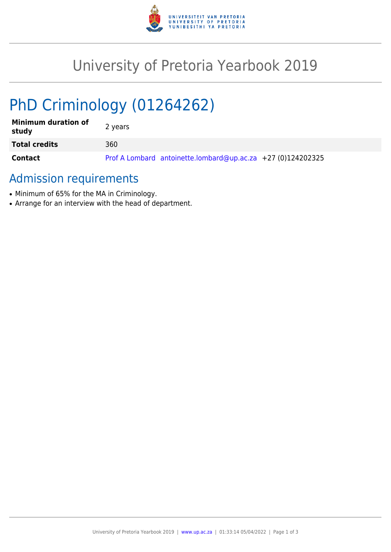

# University of Pretoria Yearbook 2019

# PhD Criminology (01264262)

| <b>Minimum duration of</b><br>study | 2 years                                                     |
|-------------------------------------|-------------------------------------------------------------|
| <b>Total credits</b>                | 360                                                         |
| Contact                             | Prof A Lombard antoinette.lombard@up.ac.za +27 (0)124202325 |

## Admission requirements

- Minimum of 65% for the MA in Criminology.
- Arrange for an interview with the head of department.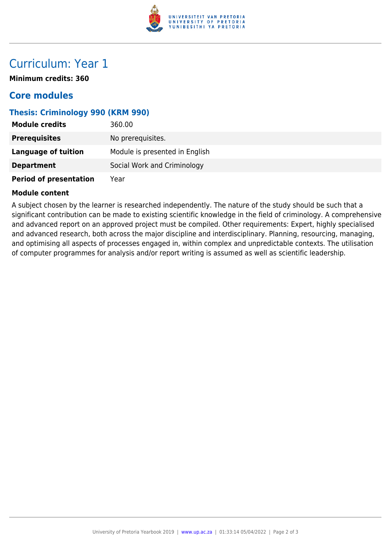

## Curriculum: Year 1

**Minimum credits: 360**

### **Core modules**

#### **Thesis: Criminology 990 (KRM 990)**

| <b>Module credits</b>         | 360.00                         |
|-------------------------------|--------------------------------|
| <b>Prerequisites</b>          | No prerequisites.              |
| <b>Language of tuition</b>    | Module is presented in English |
| <b>Department</b>             | Social Work and Criminology    |
| <b>Period of presentation</b> | Year                           |

#### **Module content**

A subject chosen by the learner is researched independently. The nature of the study should be such that a significant contribution can be made to existing scientific knowledge in the field of criminology. A comprehensive and advanced report on an approved project must be compiled. Other requirements: Expert, highly specialised and advanced research, both across the major discipline and interdisciplinary. Planning, resourcing, managing, and optimising all aspects of processes engaged in, within complex and unpredictable contexts. The utilisation of computer programmes for analysis and/or report writing is assumed as well as scientific leadership.